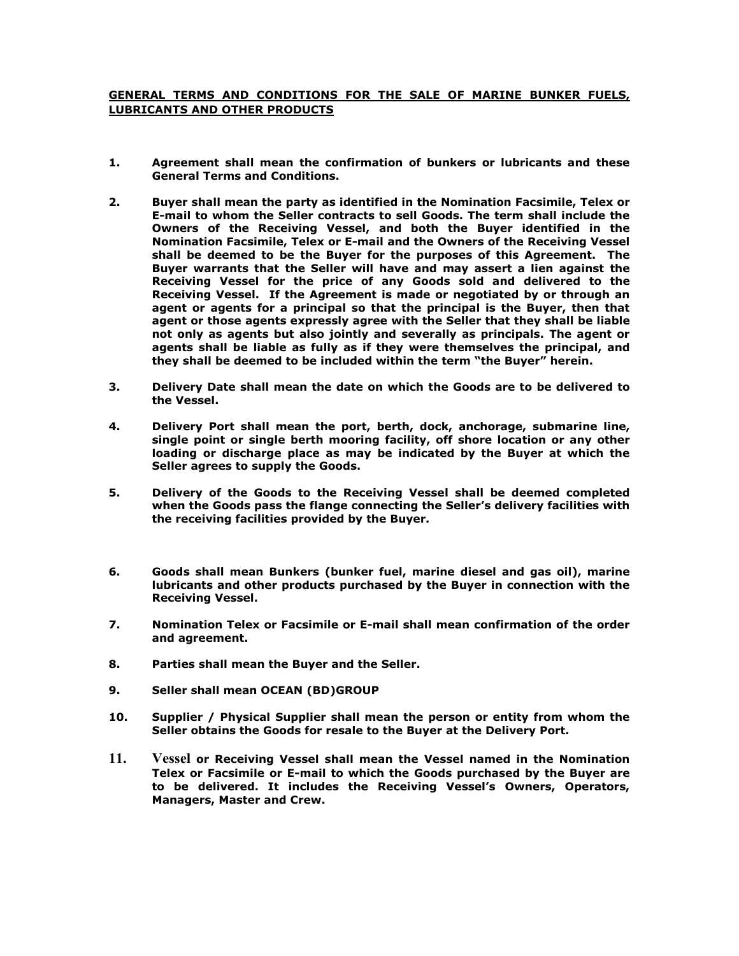## **GENERAL TERMS AND CONDITIONS FOR THE SALE OF MARINE BUNKER FUELS, LUBRICANTS AND OTHER PRODUCTS**

- **1. Agreement shall mean the confirmation of bunkers or lubricants and these General Terms and Conditions.**
- **2. Buyer shall mean the party as identified in the Nomination Facsimile, Telex or E-mail to whom the Seller contracts to sell Goods. The term shall include the Owners of the Receiving Vessel, and both the Buyer identified in the Nomination Facsimile, Telex or E-mail and the Owners of the Receiving Vessel shall be deemed to be the Buyer for the purposes of this Agreement. The Buyer warrants that the Seller will have and may assert a lien against the Receiving Vessel for the price of any Goods sold and delivered to the Receiving Vessel. If the Agreement is made or negotiated by or through an agent or agents for a principal so that the principal is the Buyer, then that agent or those agents expressly agree with the Seller that they shall be liable not only as agents but also jointly and severally as principals. The agent or agents shall be liable as fully as if they were themselves the principal, and they shall be deemed to be included within the term "the Buyer" herein.**
- **3. Delivery Date shall mean the date on which the Goods are to be delivered to the Vessel.**
- **4. Delivery Port shall mean the port, berth, dock, anchorage, submarine line, single point or single berth mooring facility, off shore location or any other loading or discharge place as may be indicated by the Buyer at which the Seller agrees to supply the Goods.**
- **5. Delivery of the Goods to the Receiving Vessel shall be deemed completed when the Goods pass the flange connecting the Seller's delivery facilities with the receiving facilities provided by the Buyer.**
- **6. Goods shall mean Bunkers (bunker fuel, marine diesel and gas oil), marine lubricants and other products purchased by the Buyer in connection with the Receiving Vessel.**
- **7. Nomination Telex or Facsimile or E-mail shall mean confirmation of the order and agreement.**
- **8. Parties shall mean the Buyer and the Seller.**
- **9. Seller shall mean OCEAN (BD)GROUP**
- **10. Supplier / Physical Supplier shall mean the person or entity from whom the Seller obtains the Goods for resale to the Buyer at the Delivery Port.**
- **11. Vessel or Receiving Vessel shall mean the Vessel named in the Nomination Telex or Facsimile or E-mail to which the Goods purchased by the Buyer are to be delivered. It includes the Receiving Vessel's Owners, Operators, Managers, Master and Crew.**